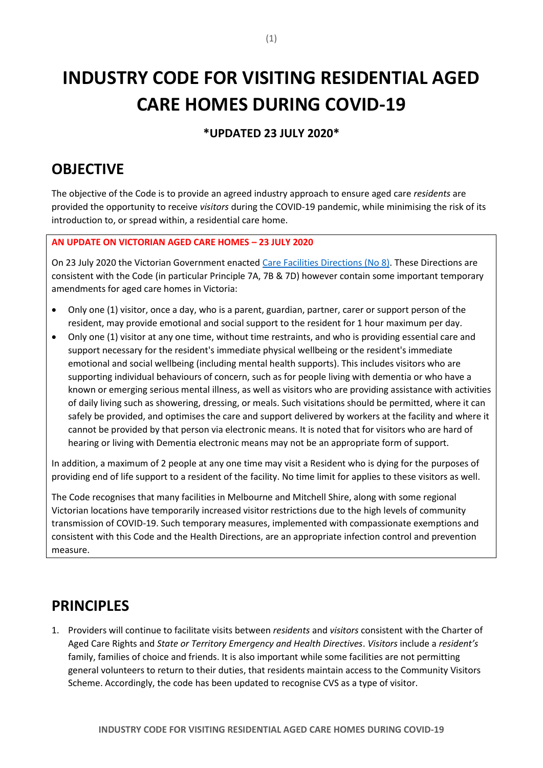# **INDUSTRY CODE FOR VISITING RESIDENTIAL AGED CARE HOMES DURING COVID-19**

**\*UPDATED 23 JULY 2020\***

# **OBJECTIVE**

The objective of the Code is to provide an agreed industry approach to ensure aged care *residents* are provided the opportunity to receive *visitors* during the COVID-19 pandemic, while minimising the risk of its introduction to, or spread within, a residential care home.

### **AN UPDATE ON VICTORIAN AGED CARE HOMES – 23 JULY 2020**

On 23 July 2020 the Victorian Government enacted [Care Facilities Directions \(No 8\).](https://www.dhhs.vic.gov.au/sites/default/files/documents/202007/Care%20Facilities%20Directions%20%28No%208%29%20-%2022%20July%202020.pdf) These Directions are consistent with the Code (in particular Principle 7A, 7B & 7D) however contain some important temporary amendments for aged care homes in Victoria:

- Only one (1) visitor, once a day, who is a parent, guardian, partner, carer or support person of the resident, may provide emotional and social support to the resident for 1 hour maximum per day.
- Only one (1) visitor at any one time, without time restraints, and who is providing essential care and support necessary for the resident's immediate physical wellbeing or the resident's immediate emotional and social wellbeing (including mental health supports). This includes visitors who are supporting individual behaviours of concern, such as for people living with dementia or who have a known or emerging serious mental illness, as well as visitors who are providing assistance with activities of daily living such as showering, dressing, or meals. Such visitations should be permitted, where it can safely be provided, and optimises the care and support delivered by workers at the facility and where it cannot be provided by that person via electronic means. It is noted that for visitors who are hard of hearing or living with Dementia electronic means may not be an appropriate form of support.

In addition, a maximum of 2 people at any one time may visit a Resident who is dying for the purposes of providing end of life support to a resident of the facility. No time limit for applies to these visitors as well.

The Code recognises that many facilities in Melbourne and Mitchell Shire, along with some regional Victorian locations have temporarily increased visitor restrictions due to the high levels of community transmission of COVID-19. Such temporary measures, implemented with compassionate exemptions and consistent with this Code and the Health Directions, are an appropriate infection control and prevention measure.

## **PRINCIPLES**

1. Providers will continue to facilitate visits between *residents* and *visitors* consistent with the Charter of Aged Care Rights and *State or Territory Emergency and Health Directives*. *Visitors* include a *resident's* family, families of choice and friends. It is also important while some facilities are not permitting general volunteers to return to their duties, that residents maintain access to the Community Visitors Scheme. Accordingly, the code has been updated to recognise CVS as a type of visitor.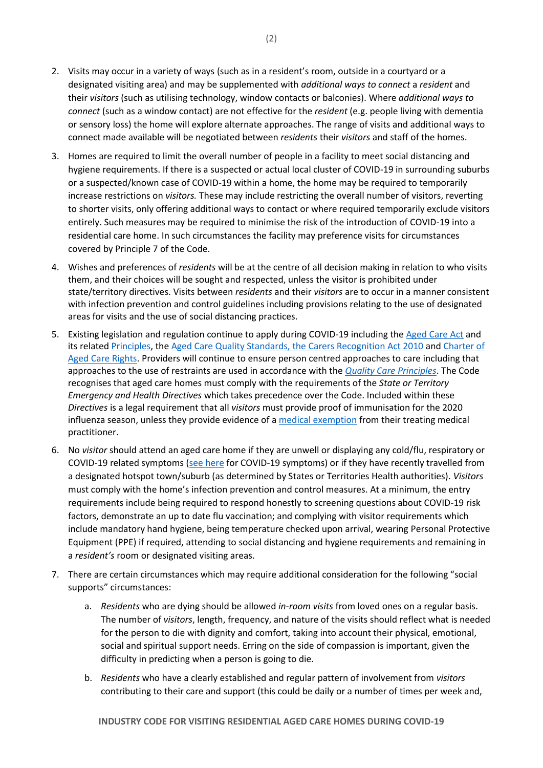- 2. Visits may occur in a variety of ways (such as in a resident's room, outside in a courtyard or a designated visiting area) and may be supplemented with *additional ways to connect* a *resident* and their *visitors* (such as utilising technology, window contacts or balconies). Where *additional ways to connect* (such as a window contact) are not effective for the *resident* (e.g. people living with dementia or sensory loss) the home will explore alternate approaches. The range of visits and additional ways to connect made available will be negotiated between *residents* their *visitors* and staff of the homes.
- 3. Homes are required to limit the overall number of people in a facility to meet social distancing and hygiene requirements. If there is a suspected or actual local cluster of COVID-19 in surrounding suburbs or a suspected/known case of COVID-19 within a home, the home may be required to temporarily increase restrictions on *visitors.* These may include restricting the overall number of visitors, reverting to shorter visits, only offering additional ways to contact or where required temporarily exclude visitors entirely. Such measures may be required to minimise the risk of the introduction of COVID-19 into a residential care home. In such circumstances the facility may preference visits for circumstances covered by Principle 7 of the Code.
- 4. Wishes and preferences of *residents* will be at the centre of all decision making in relation to who visits them, and their choices will be sought and respected, unless the visitor is prohibited under state/territory directives. Visits between *residents* and their *visitors* are to occur in a manner consistent with infection prevention and control guidelines including provisions relating to the use of designated areas for visits and the use of social distancing practices.
- 5. Existing legislation and regulation continue to apply during COVID-19 including the [Aged Care Act](https://www.legislation.gov.au/Details/C2017C00241) and its related [Principles,](https://www.legislation.gov.au/Details/F2014L00830) the [Aged Care Quality Standards,](https://www.myagedcare.gov.au/aged-care-quality-standards) the [Carers Recognition Act 2010](https://www.legislation.gov.au/Details/C2010A00123) and [Charter of](https://www.agedcarequality.gov.au/providers/provider-information)  [Aged Care Rights.](https://www.agedcarequality.gov.au/providers/provider-information) Providers will continue to ensure person centred approaches to care including that approaches to the use of restraints are used in accordance with the *[Quality Care Principles](https://www.agedcarequality.gov.au/providers/assessment-processes/minimising-restraints-use)*. The Code recognises that aged care homes must comply with the requirements of the *State or Territory Emergency and Health Directives* which takes precedence over the Code. Included within these *Directives* is a legal requirement that all *visitors* must provide proof of immunisation for the 2020 influenza season, unless they provide evidence of [a medical exemption](https://www.health.gov.au/sites/default/files/documents/2020/05/coronavirus-covid-19-restrictions-on-entry-into-and-visitors-to-aged-care-facilities_0.pdf) from their treating medical practitioner.
- 6. No *visitor* should attend an aged care home if they are unwell or displaying any cold/flu, respiratory or COVID-19 related symptoms [\(see here](https://www.health.gov.au/resources/publications/coronavirus-covid-19-identifying-the-symptoms) for COVID-19 symptoms) or if they have recently travelled from a designated hotspot town/suburb (as determined by States or Territories Health authorities). *Visitors* must comply with the home's infection prevention and control measures. At a minimum, the entry requirements include being required to respond honestly to screening questions about COVID-19 risk factors, demonstrate an up to date flu vaccination; and complying with visitor requirements which include mandatory hand hygiene, being temperature checked upon arrival, wearing Personal Protective Equipment (PPE) if required, attending to social distancing and hygiene requirements and remaining in a *resident's* room or designated visiting areas.
- 7. There are certain circumstances which may require additional consideration for the following "social supports" circumstances:
	- a. *Residents* who are dying should be allowed *in-room visits* from loved ones on a regular basis. The number of *visitors*, length, frequency, and nature of the visits should reflect what is needed for the person to die with dignity and comfort, taking into account their physical, emotional, social and spiritual support needs. Erring on the side of compassion is important, given the difficulty in predicting when a person is going to die.
	- b. *Residents* who have a clearly established and regular pattern of involvement from *visitors* contributing to their care and support (this could be daily or a number of times per week and,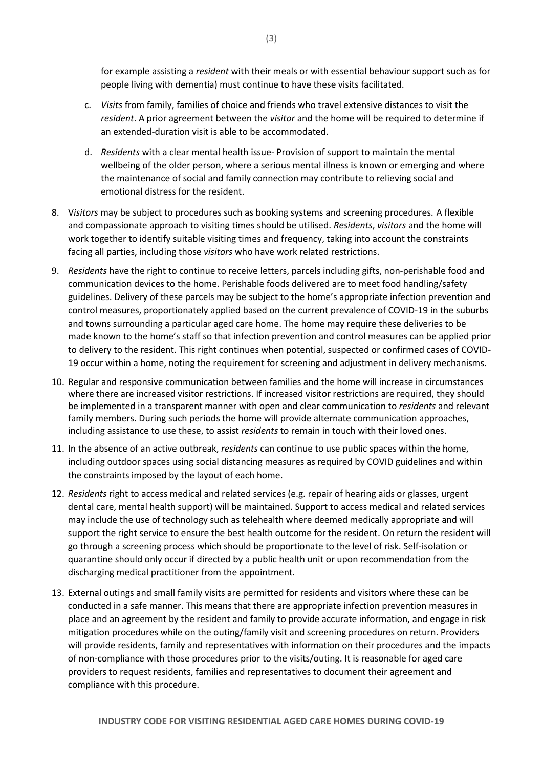for example assisting a *resident* with their meals or with essential behaviour support such as for people living with dementia) must continue to have these visits facilitated.

- c. *Visits* from family, families of choice and friends who travel extensive distances to visit the *resident*. A prior agreement between the *visitor* and the home will be required to determine if an extended-duration visit is able to be accommodated.
- d. *Residents* with a clear mental health issue- Provision of support to maintain the mental wellbeing of the older person, where a serious mental illness is known or emerging and where the maintenance of social and family connection may contribute to relieving social and emotional distress for the resident.
- 8. V*isitors* may be subject to procedures such as booking systems and screening procedures. A flexible and compassionate approach to visiting times should be utilised. *Residents*, *visitors* and the home will work together to identify suitable visiting times and frequency, taking into account the constraints facing all parties, including those *visitors* who have work related restrictions.
- 9. *Residents* have the right to continue to receive letters, parcels including gifts, non-perishable food and communication devices to the home. Perishable foods delivered are to meet food handling/safety guidelines. Delivery of these parcels may be subject to the home's appropriate infection prevention and control measures, proportionately applied based on the current prevalence of COVID-19 in the suburbs and towns surrounding a particular aged care home. The home may require these deliveries to be made known to the home's staff so that infection prevention and control measures can be applied prior to delivery to the resident. This right continues when potential, suspected or confirmed cases of COVID-19 occur within a home, noting the requirement for screening and adjustment in delivery mechanisms.
- 10. Regular and responsive communication between families and the home will increase in circumstances where there are increased visitor restrictions. If increased visitor restrictions are required, they should be implemented in a transparent manner with open and clear communication to *residents* and relevant family members. During such periods the home will provide alternate communication approaches, including assistance to use these, to assist *residents* to remain in touch with their loved ones.
- 11. In the absence of an active outbreak, *residents* can continue to use public spaces within the home, including outdoor spaces using social distancing measures as required by COVID guidelines and within the constraints imposed by the layout of each home.
- 12. *Residents* right to access medical and related services (e.g. repair of hearing aids or glasses, urgent dental care, mental health support) will be maintained. Support to access medical and related services may include the use of technology such as telehealth where deemed medically appropriate and will support the right service to ensure the best health outcome for the resident. On return the resident will go through a screening process which should be proportionate to the level of risk. Self-isolation or quarantine should only occur if directed by a public health unit or upon recommendation from the discharging medical practitioner from the appointment.
- 13. External outings and small family visits are permitted for residents and visitors where these can be conducted in a safe manner. This means that there are appropriate infection prevention measures in place and an agreement by the resident and family to provide accurate information, and engage in risk mitigation procedures while on the outing/family visit and screening procedures on return. Providers will provide residents, family and representatives with information on their procedures and the impacts of non-compliance with those procedures prior to the visits/outing. It is reasonable for aged care providers to request residents, families and representatives to document their agreement and compliance with this procedure.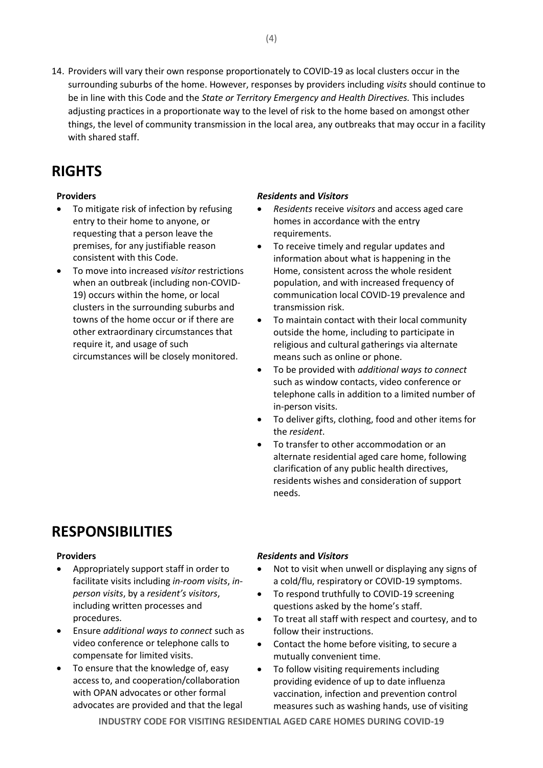14. Providers will vary their own response proportionately to COVID-19 as local clusters occur in the surrounding suburbs of the home. However, responses by providers including *visits* should continue to be in line with this Code and the *State or Territory Emergency and Health Directives.* This includes adjusting practices in a proportionate way to the level of risk to the home based on amongst other things, the level of community transmission in the local area, any outbreaks that may occur in a facility with shared staff.

# **RIGHTS**

- To mitigate risk of infection by refusing entry to their home to anyone, or requesting that a person leave the premises, for any justifiable reason consistent with this Code.
- To move into increased *visitor* restrictions when an outbreak (including non-COVID-19) occurs within the home, or local clusters in the surrounding suburbs and towns of the home occur or if there are other extraordinary circumstances that require it, and usage of such circumstances will be closely monitored.

## **Providers** *Residents* **and** *Visitors*

- *Residents* receive *visitors* and access aged care homes in accordance with the entry requirements.
- To receive timely and regular updates and information about what is happening in the Home, consistent across the whole resident population, and with increased frequency of communication local COVID-19 prevalence and transmission risk.
- To maintain contact with their local community outside the home, including to participate in religious and cultural gatherings via alternate means such as online or phone.
- To be provided with *additional ways to connect* such as window contacts, video conference or telephone calls in addition to a limited number of in-person visits.
- To deliver gifts, clothing, food and other items for the *resident*.
- To transfer to other accommodation or an alternate residential aged care home, following clarification of any public health directives, residents wishes and consideration of support needs.

# **RESPONSIBILITIES**

- Appropriately support staff in order to facilitate visits including *in-room visits*, *inperson visits*, by a *resident's visitors*, including written processes and procedures.
- Ensure *additional ways to connect* such as video conference or telephone calls to compensate for limited visits.
- To ensure that the knowledge of, easy access to, and cooperation/collaboration with OPAN advocates or other formal advocates are provided and that the legal

## **Providers** *Residents* **and** *Visitors*

- Not to visit when unwell or displaying any signs of a cold/flu, respiratory or COVID-19 symptoms.
- To respond truthfully to COVID-19 screening questions asked by the home's staff.
- To treat all staff with respect and courtesy, and to follow their instructions.
- Contact the home before visiting, to secure a mutually convenient time.
- To follow visiting requirements including providing evidence of up to date influenza vaccination, infection and prevention control measures such as washing hands, use of visiting

**INDUSTRY CODE FOR VISITING RESIDENTIAL AGED CARE HOMES DURING COVID-19**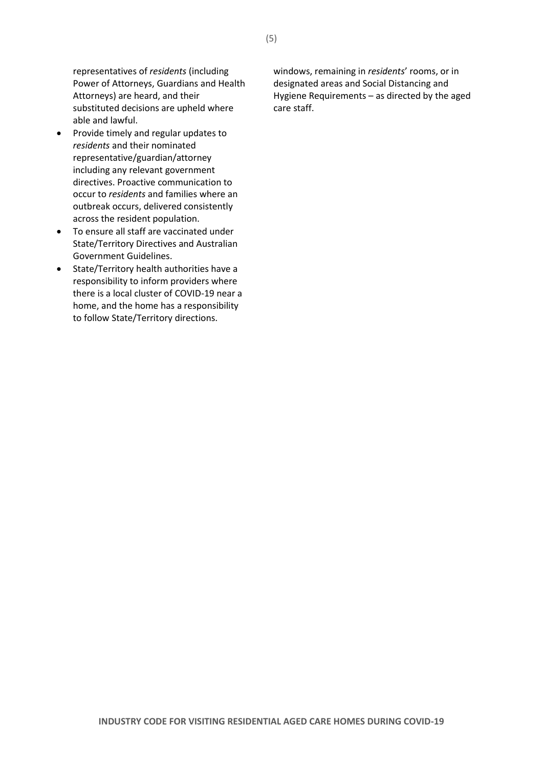representatives of *residents* (including Power of Attorneys, Guardians and Health Attorneys) are heard, and their substituted decisions are upheld where able and lawful.

- Provide timely and regular updates to *residents* and their nominated representative/guardian/attorney including any relevant government directives. Proactive communication to occur to *residents* and families where an outbreak occurs, delivered consistently across the resident population.
- To ensure all staff are vaccinated under State/Territory Directives and Australian Government Guidelines.
- State/Territory health authorities have a responsibility to inform providers where there is a local cluster of COVID-19 near a home, and the home has a responsibility to follow State/Territory directions.

windows, remaining in *residents*' rooms, or in designated areas and Social Distancing and Hygiene Requirements – as directed by the aged care staff.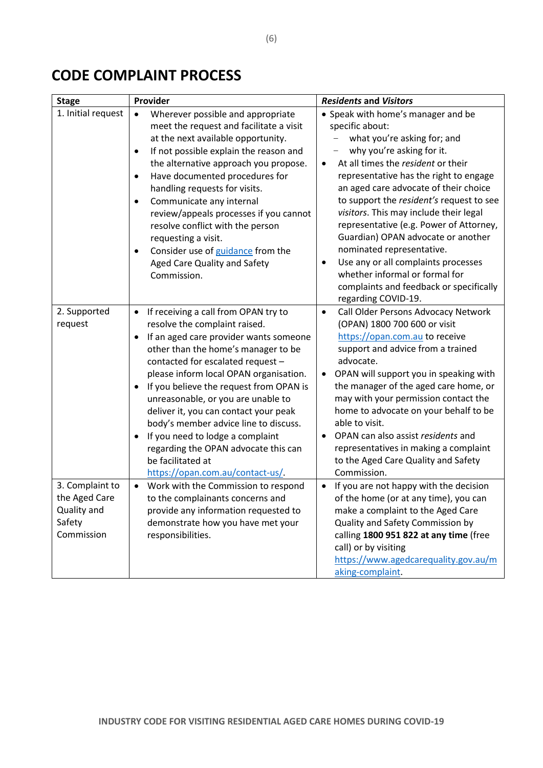# **CODE COMPLAINT PROCESS**

| <b>Stage</b>                                                            | Provider                                                                                                                                                                                                                                                                                                                                                                                                                                                                                                                                                    | <b>Residents and Visitors</b>                                                                                                                                                                                                                                                                                                                                                                                                                                                                                                                                                             |
|-------------------------------------------------------------------------|-------------------------------------------------------------------------------------------------------------------------------------------------------------------------------------------------------------------------------------------------------------------------------------------------------------------------------------------------------------------------------------------------------------------------------------------------------------------------------------------------------------------------------------------------------------|-------------------------------------------------------------------------------------------------------------------------------------------------------------------------------------------------------------------------------------------------------------------------------------------------------------------------------------------------------------------------------------------------------------------------------------------------------------------------------------------------------------------------------------------------------------------------------------------|
| 1. Initial request                                                      | Wherever possible and appropriate<br>$\bullet$<br>meet the request and facilitate a visit<br>at the next available opportunity.<br>If not possible explain the reason and<br>٠<br>the alternative approach you propose.<br>Have documented procedures for<br>$\bullet$<br>handling requests for visits.<br>Communicate any internal<br>٠<br>review/appeals processes if you cannot<br>resolve conflict with the person<br>requesting a visit.<br>Consider use of guidance from the<br>Aged Care Quality and Safety<br>Commission.                           | • Speak with home's manager and be<br>specific about:<br>what you're asking for; and<br>why you're asking for it.<br>At all times the resident or their<br>representative has the right to engage<br>an aged care advocate of their choice<br>to support the resident's request to see<br>visitors. This may include their legal<br>representative (e.g. Power of Attorney,<br>Guardian) OPAN advocate or another<br>nominated representative.<br>Use any or all complaints processes<br>whether informal or formal for<br>complaints and feedback or specifically<br>regarding COVID-19. |
| 2. Supported<br>request                                                 | If receiving a call from OPAN try to<br>٠<br>resolve the complaint raised.<br>If an aged care provider wants someone<br>٠<br>other than the home's manager to be<br>contacted for escalated request -<br>please inform local OPAN organisation.<br>If you believe the request from OPAN is<br>٠<br>unreasonable, or you are unable to<br>deliver it, you can contact your peak<br>body's member advice line to discuss.<br>If you need to lodge a complaint<br>regarding the OPAN advocate this can<br>be facilitated at<br>https://opan.com.au/contact-us/ | Call Older Persons Advocacy Network<br>$\bullet$<br>(OPAN) 1800 700 600 or visit<br>https://opan.com.au to receive<br>support and advice from a trained<br>advocate.<br>OPAN will support you in speaking with<br>$\bullet$<br>the manager of the aged care home, or<br>may with your permission contact the<br>home to advocate on your behalf to be<br>able to visit.<br>OPAN can also assist residents and<br>representatives in making a complaint<br>to the Aged Care Quality and Safety<br>Commission.                                                                              |
| 3. Complaint to<br>the Aged Care<br>Quality and<br>Safety<br>Commission | Work with the Commission to respond<br>to the complainants concerns and<br>provide any information requested to<br>demonstrate how you have met your<br>responsibilities.                                                                                                                                                                                                                                                                                                                                                                                   | If you are not happy with the decision<br>of the home (or at any time), you can<br>make a complaint to the Aged Care<br>Quality and Safety Commission by<br>calling 1800 951 822 at any time (free<br>call) or by visiting<br>https://www.agedcarequality.gov.au/m<br>aking-complaint.                                                                                                                                                                                                                                                                                                    |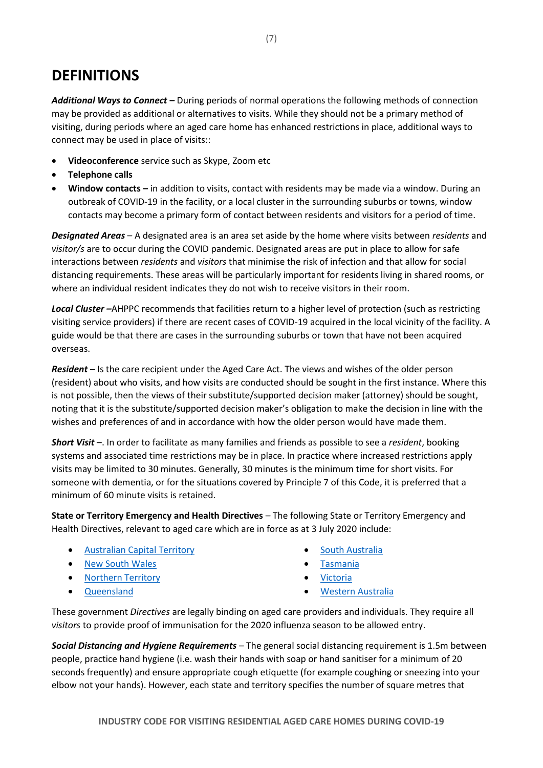# **DEFINITIONS**

*Additional Ways to Connect –* During periods of normal operations the following methods of connection may be provided as additional or alternatives to visits. While they should not be a primary method of visiting, during periods where an aged care home has enhanced restrictions in place, additional ways to connect may be used in place of visits::

- **Videoconference** service such as Skype, Zoom etc
- **Telephone calls**
- **Window contacts –** in addition to visits, contact with residents may be made via a window. During an outbreak of COVID-19 in the facility, or a local cluster in the surrounding suburbs or towns, window contacts may become a primary form of contact between residents and visitors for a period of time.

*Designated Areas* – A designated area is an area set aside by the home where visits between *residents* and *visitor/s* are to occur during the COVID pandemic. Designated areas are put in place to allow for safe interactions between *residents* and *visitors* that minimise the risk of infection and that allow for social distancing requirements. These areas will be particularly important for residents living in shared rooms, or where an individual resident indicates they do not wish to receive visitors in their room.

*Local Cluster –*AHPPC recommends that facilities return to a higher level of protection (such as restricting visiting service providers) if there are recent cases of COVID-19 acquired in the local vicinity of the facility. A guide would be that there are cases in the surrounding suburbs or town that have not been acquired overseas.

*Resident –* Is the care recipient under the Aged Care Act. The views and wishes of the older person (resident) about who visits, and how visits are conducted should be sought in the first instance. Where this is not possible, then the views of their substitute/supported decision maker (attorney) should be sought, noting that it is the substitute/supported decision maker's obligation to make the decision in line with the wishes and preferences of and in accordance with how the older person would have made them.

*Short Visit* –. In order to facilitate as many families and friends as possible to see a *resident*, booking systems and associated time restrictions may be in place. In practice where increased restrictions apply visits may be limited to 30 minutes. Generally, 30 minutes is the minimum time for short visits. For someone with dementia, or for the situations covered by Principle 7 of this Code, it is preferred that a minimum of 60 minute visits is retained.

**State or Territory Emergency and Health Directives** – The following State or Territory Emergency and Health Directives, relevant to aged care which are in force as at 3 July 2020 include:

- [Australian Capital Territory](https://legislation.act.gov.au/View/ni/2020-363/current/PDF/2020-363.PDF)
- [New South Wales](https://www.legislation.nsw.gov.au/_emergency/Public%20Health%20(COVID-19%20Aged%20Care%20Facilities)%20Order%20(No%202)%202020_signed.pdf)
- [Northern Territory](https://coronavirus.nt.gov.au/__data/assets/pdf_file/0006/898953/cho-directions-no40-directions-aged-care-facilities.pdf)
- [Queensland](https://www.health.qld.gov.au/system-governance/legislation/cho-public-health-directions-under-expanded-public-health-act-powers/aged-care)
- [South Australia](https://www.covid-19.sa.gov.au/emergency-declarations/aged-care)
- [Tasmania](https://www.coronavirus.tas.gov.au/families-community/aged-care-facility-visits)
- [Victoria](https://www.dhhs.vic.gov.au/sites/default/files/documents/202007/Care%20Facilities%20Directions%20%28No%208%29%20-%2022%20July%202020.pdf)
- [Western Australia](https://www.wa.gov.au/government/publications/visitors-residential-aged-care-facilities-directions-no2)

These government *Directives* are legally binding on aged care providers and individuals. They require all *visitors* to provide proof of immunisation for the 2020 influenza season to be allowed entry.

*Social Distancing and Hygiene Requirements* – The general social distancing requirement is 1.5m between people, practice hand hygiene (i.e. wash their hands with soap or hand sanitiser for a minimum of 20 seconds frequently) and ensure appropriate cough etiquette (for example coughing or sneezing into your elbow not your hands). However, each state and territory specifies the number of square metres that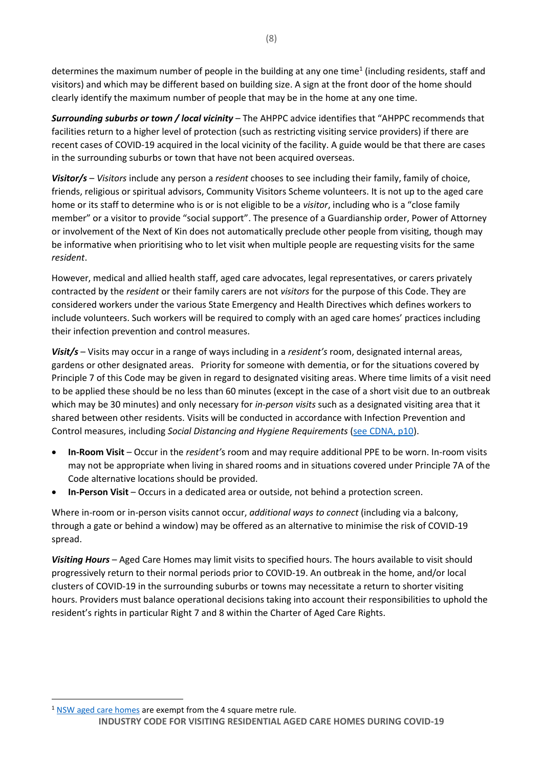determines the maximum number of people in the building at any one time<sup>1</sup> (including residents, staff and visitors) and which may be different based on building size. A sign at the front door of the home should clearly identify the maximum number of people that may be in the home at any one time.

*Surrounding suburbs or town / local vicinity* – The AHPPC advice identifies that "AHPPC recommends that facilities return to a higher level of protection (such as restricting visiting service providers) if there are recent cases of COVID-19 acquired in the local vicinity of the facility. A guide would be that there are cases in the surrounding suburbs or town that have not been acquired overseas.

*Visitor/s* – *Visitors* include any person a *resident* chooses to see including their family, family of choice, friends, religious or spiritual advisors, Community Visitors Scheme volunteers. It is not up to the aged care home or its staff to determine who is or is not eligible to be a *visitor*, including who is a "close family member" or a visitor to provide "social support". The presence of a Guardianship order, Power of Attorney or involvement of the Next of Kin does not automatically preclude other people from visiting, though may be informative when prioritising who to let visit when multiple people are requesting visits for the same *resident*.

However, medical and allied health staff, aged care advocates, legal representatives, or carers privately contracted by the *resident* or their family carers are not *visitors* for the purpose of this Code. They are considered workers under the various State Emergency and Health Directives which defines workers to include volunteers. Such workers will be required to comply with an aged care homes' practices including their infection prevention and control measures.

*Visit/s* – Visits may occur in a range of ways including in a *resident's* room, designated internal areas, gardens or other designated areas. Priority for someone with dementia, or for the situations covered by Principle 7 of this Code may be given in regard to designated visiting areas. Where time limits of a visit need to be applied these should be no less than 60 minutes (except in the case of a short visit due to an outbreak which may be 30 minutes) and only necessary for *in-person visits* such as a designated visiting area that it shared between other residents. Visits will be conducted in accordance with Infection Prevention and Control measures, including *Social Distancing and Hygiene Requirements* [\(see CDNA, p10\)](https://www.health.gov.au/sites/default/files/documents/2020/05/coronavirus-covid-19-guidelines-for-outbreaks-in-residential-care-facilities.pdf).

- **In-Room Visit**  Occur in the *resident'*s room and may require additional PPE to be worn. In-room visits may not be appropriate when living in shared rooms and in situations covered under Principle 7A of the Code alternative locations should be provided.
- **In-Person Visit** Occurs in a dedicated area or outside, not behind a protection screen.

Where in-room or in-person visits cannot occur, *additional ways to connect* (including via a balcony, through a gate or behind a window) may be offered as an alternative to minimise the risk of COVID-19 spread.

*Visiting Hours* – Aged Care Homes may limit visits to specified hours. The hours available to visit should progressively return to their normal periods prior to COVID-19. An outbreak in the home, and/or local clusters of COVID-19 in the surrounding suburbs or towns may necessitate a return to shorter visiting hours. Providers must balance operational decisions taking into account their responsibilities to uphold the resident's rights in particular Right 7 and 8 within the Charter of Aged Care Rights.

**INDUSTRY CODE FOR VISITING RESIDENTIAL AGED CARE HOMES DURING COVID-19**  $1$  [NSW aged care homes](https://www.nsw.gov.au/covid-19/what-you-can-and-cant-do-under-rules/four-square-metre-rule) are exempt from the 4 square metre rule.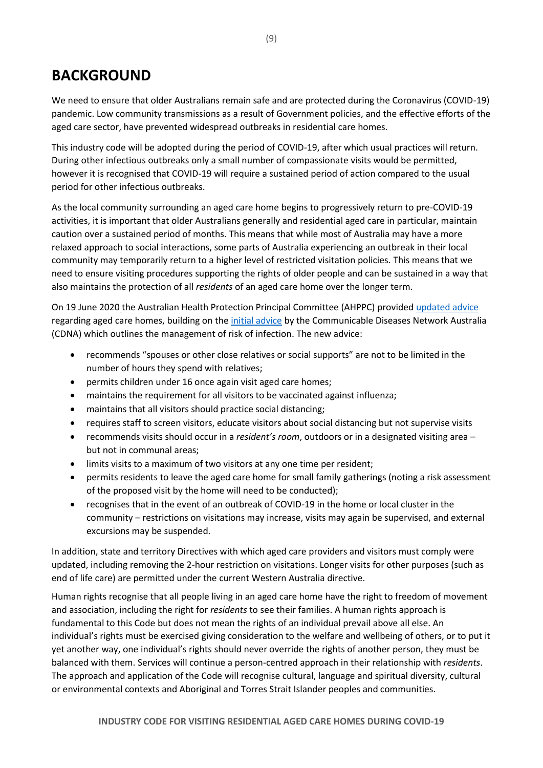# **BACKGROUND**

We need to ensure that older Australians remain safe and are protected during the Coronavirus (COVID-19) pandemic. Low community transmissions as a result of Government policies, and the effective efforts of the aged care sector, have prevented widespread outbreaks in residential care homes.

This industry code will be adopted during the period of COVID-19, after which usual practices will return. During other infectious outbreaks only a small number of compassionate visits would be permitted, however it is recognised that COVID-19 will require a sustained period of action compared to the usual period for other infectious outbreaks.

As the local community surrounding an aged care home begins to progressively return to pre-COVID-19 activities, it is important that older Australians generally and residential aged care in particular, maintain caution over a sustained period of months. This means that while most of Australia may have a more relaxed approach to social interactions, some parts of Australia experiencing an outbreak in their local community may temporarily return to a higher level of restricted visitation policies. This means that we need to ensure visiting procedures supporting the rights of older people and can be sustained in a way that also maintains the protection of all *residents* of an aged care home over the longer term.

On 19 June 2020 the Australian Health Protection Principal Committee (AHPPC) provided [updated advice](https://www.health.gov.au/news/australian-health-protection-principal-committee-ahppc-update-to-residential-aged-care-facilities-about-minimising-the-impact-of-covid-19) regarding aged care homes, building on the [initial advice](https://health.govcms.gov.au/resources/publications/coronavirus-covid-19-guidelines-for-outbreaks-in-residential-care-facilities) by the Communicable Diseases Network Australia (CDNA) which outlines the management of risk of infection. The new advice:

- recommends "spouses or other close relatives or social supports" are not to be limited in the number of hours they spend with relatives;
- permits children under 16 once again visit aged care homes;
- maintains the requirement for all visitors to be vaccinated against influenza;
- maintains that all visitors should practice social distancing;
- requires staff to screen visitors, educate visitors about social distancing but not supervise visits
- recommends visits should occur in a *resident's room*, outdoors or in a designated visiting area but not in communal areas;
- limits visits to a maximum of two visitors at any one time per resident;
- permits residents to leave the aged care home for small family gatherings (noting a risk assessment of the proposed visit by the home will need to be conducted);
- recognises that in the event of an outbreak of COVID-19 in the home or local cluster in the community – restrictions on visitations may increase, visits may again be supervised, and external excursions may be suspended.

In addition, state and territory Directives with which aged care providers and visitors must comply were updated, including removing the 2-hour restriction on visitations. Longer visits for other purposes (such as end of life care) are permitted under the current Western Australia directive.

Human rights recognise that all people living in an aged care home have the right to freedom of movement and association, including the right for *residents* to see their families. A human rights approach is fundamental to this Code but does not mean the rights of an individual prevail above all else. An individual's rights must be exercised giving consideration to the welfare and wellbeing of others, or to put it yet another way, one individual's rights should never override the rights of another person, they must be balanced with them. Services will continue a person-centred approach in their relationship with *residents*. The approach and application of the Code will recognise cultural, language and spiritual diversity, cultural or environmental contexts and Aboriginal and Torres Strait Islander peoples and communities.